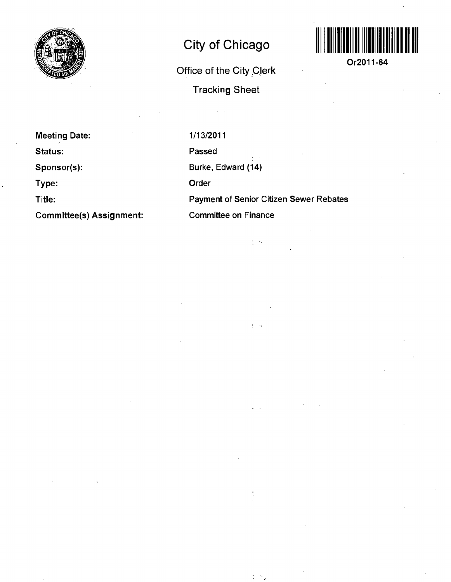

## **City of Chicago**

**Office of the City ,C|erk Tracking Sheet** 



**Or2011-64** 

**Meeting Date: Status:** 

**Sponsor(s):** 

**Type:** 

**Title:** 

**Commlttee(s) Assignment:** 

1/13/2011 Passed Burke, Edward (14) Order Payment of Senior Citizen Sewer Rebates Committee on Finance

 $\frac{1}{2}$  ,  $\frac{1}{2}$ 

÷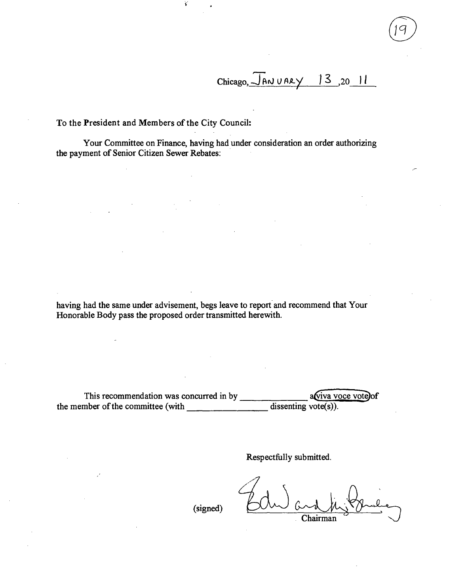$Chicago, \overline{J}ANUARY$  13, 20 11

**To the President and Members of the City Council:** 

Your Committee on Finance, having had under consideration an order authorizing the payment of Senior Citizen Sewer Rebates:

having had the same under advisement, begs leave to report and recommend that Your Honorable Body pass the proposed order transmitted herewith.

This recommendation was concurred in by the member of the committee (with  $\frac{1}{\sqrt{1-\frac{1}{\sqrt{1-\frac{1}{\sqrt{1-\frac{1}{\sqrt{1-\frac{1}{\sqrt{1-\frac{1}{\sqrt{1-\frac{1}{\sqrt{1-\frac{1}{\sqrt{1-\frac{1}{\sqrt{1-\frac{1}{\sqrt{1-\frac{1}{\sqrt{1-\frac{1}{\sqrt{1-\frac{1}{\sqrt{1-\frac{1}{\sqrt{1-\frac{1}{\sqrt{1-\frac{1}{\sqrt{1-\frac{1}{\sqrt{1-\frac{1}{\sqrt{1-\frac{1}{\sqrt{1-\frac{1}{\sqrt{1-\frac{1}{\$ aviva voce vote)of

Respectfully submitted.

(signed)

Chairman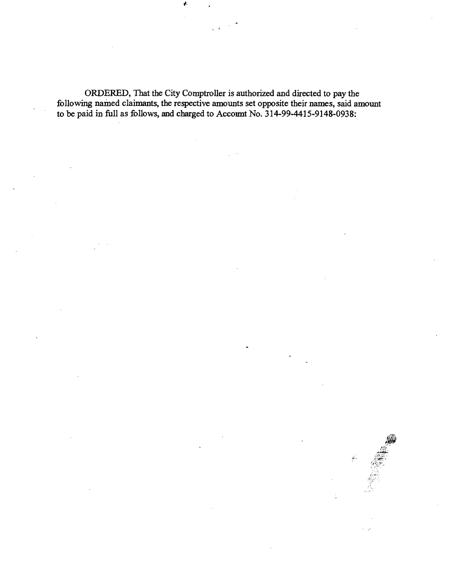ORDERED, That the City Comptroller is authorized and directed to pay the following named claimants, the respective amounts set opposite their names, said amount to be paid in full as follows, and charged to Account No. 314-99-4415-9148-0938: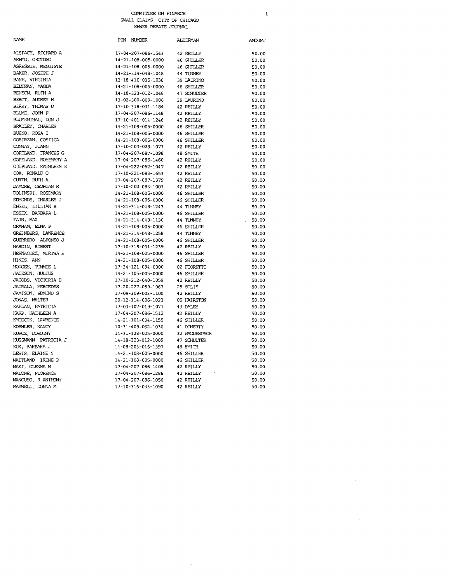## COMMITTEE ON FINANCE SMALL CLAIMS, CITY OF CHICAGO SEVER REBATE JOURNAL

| <b>NAME</b>           | PIN NUMBER         | ALDERMAN          | AMOUNT |
|-----------------------|--------------------|-------------------|--------|
| ALSPACH, RICHARD A    | 17-04-207-086-1543 | 42 REILLY         | 50.00  |
| AREMU, OVOTOSO        | 14-21-108-005-0000 | 46 SHILLER        | 50.00  |
| ASRESSIE, MENGISTE    | 14-21-108-005-0000 | 46 SHILLER        | 50.00  |
| BAKER, JOSEPH J       | 14-21-314-048-1048 | 44 TUNNEY         | 50.00  |
| BANE, VIRGINIA        | 13-18-410-035-1036 | 39 LAURINO        | 50.00  |
| BELTRAN, MAGDA        | 14-21-108-005-0000 | 46 SHILLER        | 50.00  |
| BENSCN, RUIH A        | 14-18-323-012-1048 | 47 SCHULTER       | 50.00  |
| BERGT, AUDREY H       | 13-02-300-009-1008 | 39 LAURINO        | 50.00  |
| BERRY, THOMAS D       | 17-10-318-031-1184 | 42 REILLY         | 50.00  |
| BLUME, JOHN F         | 17-04-207-086-1148 | 42 REILLY         | 50.00  |
| BLUMENIHAL, DON J     | 17-10-401-014-1246 | 42 REILLY         | 50.00  |
| BRADLEY, CHARLES      | 14-21-108-005-0000 | 46 SHILLER        | 50.00  |
| BUENO, ROSA I         | 14-21-108-005-0000 | 46 SHILLER        | 50.00  |
| OOBIRZAN, COSTICA     | 14-21-108-005-0000 | 46 SHILLER        | 50.00  |
| COMMAY, JOANN         | 17-10-203-028-1073 | 42 REILLY         | 50.00  |
| COPELAND, FRANCES G   | 17-04-207-087-1098 | 48 SMITH          | 50.00  |
| COPELAND, ROSEMARY A  | 17-04-207-086-1460 | 42 REILLY         | 50.00  |
| O XUPLAND, KATHLEEN E | 17-04-222-062-1047 | 42 REILLY         | 50.00  |
| COX, RONALD O         | 17-10-221-083-1653 | 42 REILLY         | 50.00  |
| CURTH, RUIH A.        | 17-04-207-087-1379 | 42 REILLY         | 50.00  |
| DAMORE, GBORGAN R     | 17-10-202-083-1003 | 42 REILLY         | 50.00  |
| DOLINSKI, ROSEMARY    | 14-21-108-005-0000 | 46 SHILLER        | 50.00  |
| EDMONDS, CHARLES J    | 14-21-108-005-0000 | 46 SHILLER        | 50.00  |
| ENGEL, LILLIAN R      | 14-21-314-048-1243 | 44 TUNNEY         | 50.00  |
| ESSEX, BARBARA L      | 14-21-108-005-0000 | 46 SHILLER        | 50.00  |
| FAJN, MAX             | 14-21-314-048-1130 | 44 TUNNEY         | .50.00 |
| GRAHAM, EDNA P        | 14-21-108-005-0000 | 46 SHILLER        | 50.00  |
| GREENBERG, LAWRENCE   | 14-21-314-048-1258 | 44 TUNNEY         | 50.00  |
| GUERRERO, ALFONSO J   | 14-21-108-005-0000 | 46 SHILLER        | 50.00  |
| HARDIN, ROBERT        | 17-10-318-031-1239 | 42 REILLY         | 50.00  |
| HERNANDEZ, MIRTHA E   | 14-21-108-005-0000 | <b>46 SHILLER</b> | 50.00  |
| HINES, ANN            | 14-21-108-005-0000 | 46 SHILLER        | 50.00  |
| HODGES, TOMMIE L      | 17-34-121-094-0000 | 02 FIORETTI       | 50.00  |
| JACKSCN, JULIUS       | 14-21-105-005-0000 | 46 SHILLER        | 50.00  |
| JACOBS, VICTORIA B    | 17-10-212-040-1059 | 42 REILLY         | 50.00  |
| JAIRALA, MERCEDES     | 17-20-227-059-1063 | 25 SOLIS          | 50.00  |
| JAMISON, EDMJND S     | 17-09-309-003-1100 | 42 REILLY         | 50.00  |
| JONAS, WALTER         | 20-12-114-006-1023 | 05 HAIRSTON       | 50.00  |
| KAPLAN, PATRICIA      | 17-03-107-019-1077 | 43 DALEY          | 50.00  |
| KARP, KATHLEEN A      | 17-04-207-086-1512 | 42 REILLY         | 50.00  |
| KMIECIK, LAWRENCE     | 14-21-101-034-1155 | 46 SHILLER        | 50.00  |
| KDEHLER, NANCY        | 10-31-409-062-1030 | 41 DOHERTY        | 50.00  |
| KURCZ, DOROTHY        | 14-31-128-025-0000 | 32 WAGUESPACK     | 50.00  |
| KUSSMANN, PATRICIA J  | 14-18-323-012-1009 | 47 SCHULTER       | 50.00  |
| KUX, BARBARA J        | 14-08-203-015-1397 | 48 SMITH          | 50.00  |
| LEWIS, ELAINE N       | 14-21-108-005-0000 | 46 SHILLER        | 50.00  |
| MAITLAND, IRENE P     | 14-21-108-005-0000 | 46 SHILLER        | 50.00  |
| MAKI, GLENNA M        | 17-04-207-086-1408 | 42 REILLY         | 50.00  |
| MALONE, FLORENCE      | 17-04-207-086-1286 | 42 REILLY         | 50.00  |
| MANCUSO, R ANIHONY    | 17-04-207-086-1056 | 42 REILLY         | 50.00  |
| MAXWELL, DONNA M      | 17-10-316-033-1090 | 42 REILLY         | 50.00  |
|                       |                    |                   |        |

 $\bar{\mathcal{L}}$ 

## $\mathbf 1$

 $\sim$ 

 $\mathcal{L}_{\mathcal{A}}$ 

 $\sim 10$